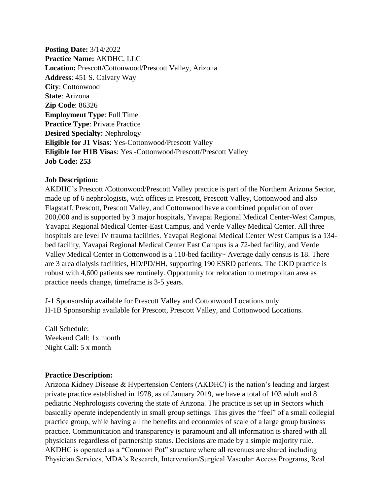**Posting Date:** 3/14/2022 **Practice Name:** AKDHC, LLC **Location:** Prescott/Cottonwood/Prescott Valley, Arizona **Address**: 451 S. Calvary Way **City**: Cottonwood **State**: Arizona **Zip Code**: 86326 **Employment Type**: Full Time **Practice Type**: Private Practice **Desired Specialty:** Nephrology **Eligible for J1 Visas**: Yes-Cottonwood/Prescott Valley **Eligible for H1B Visas**: Yes -Cottonwood/Prescott/Prescott Valley **Job Code: 253**

## **Job Description:**

AKDHC's Prescott /Cottonwood/Prescott Valley practice is part of the Northern Arizona Sector, made up of 6 nephrologists, with offices in Prescott, Prescott Valley, Cottonwood and also Flagstaff. Prescott, Prescott Valley, and Cottonwood have a combined population of over 200,000 and is supported by 3 major hospitals, Yavapai Regional Medical Center-West Campus, Yavapai Regional Medical Center-East Campus, and Verde Valley Medical Center. All three hospitals are level IV trauma facilities. Yavapai Regional Medical Center West Campus is a 134 bed facility, Yavapai Regional Medical Center East Campus is a 72-bed facility, and Verde Valley Medical Center in Cottonwood is a 110-bed facility~ Average daily census is 18. There are 3 area dialysis facilities, HD/PD/HH, supporting 190 ESRD patients. The CKD practice is robust with 4,600 patients see routinely. Opportunity for relocation to metropolitan area as practice needs change, timeframe is 3-5 years.

J-1 Sponsorship available for Prescott Valley and Cottonwood Locations only H-1B Sponsorship available for Prescott, Prescott Valley, and Cottonwood Locations.

Call Schedule: Weekend Call: 1x month Night Call: 5 x month

## **Practice Description:**

Arizona Kidney Disease & Hypertension Centers (AKDHC) is the nation's leading and largest private practice established in 1978, as of January 2019, we have a total of 103 adult and 8 pediatric Nephrologists covering the state of Arizona. The practice is set up in Sectors which basically operate independently in small group settings. This gives the "feel" of a small collegial practice group, while having all the benefits and economies of scale of a large group business practice. Communication and transparency is paramount and all information is shared with all physicians regardless of partnership status. Decisions are made by a simple majority rule. AKDHC is operated as a "Common Pot" structure where all revenues are shared including Physician Services, MDA's Research, Intervention/Surgical Vascular Access Programs, Real